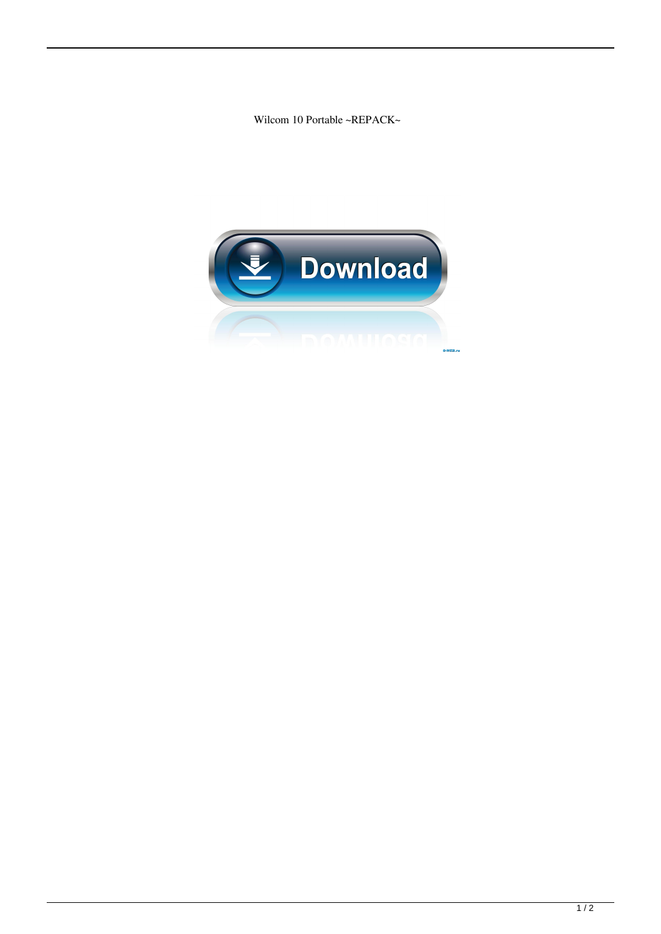Wilcom 10 Portable ~REPACK~